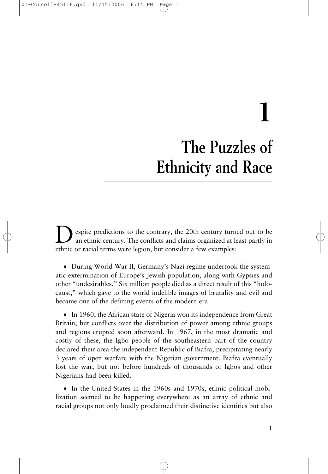espite predictions to the contrary, the 20th century turned out to be an ethnic century. The conflicts and claims organized at least partly in ethnic or racial terms were legion, but consider a few examples:

• During World War II, Germany's Nazi regime undertook the systematic extermination of Europe's Jewish population, along with Gypsies and other "undesirables." Six million people died as a direct result of this "holocaust," which gave to the world indelible images of brutality and evil and became one of the defining events of the modern era.

• In 1960, the African state of Nigeria won its independence from Great Britain, but conflicts over the distribution of power among ethnic groups and regions erupted soon afterward. In 1967, in the most dramatic and costly of these, the Igbo people of the southeastern part of the country declared their area the independent Republic of Biafra, precipitating nearly 3 years of open warfare with the Nigerian government. Biafra eventually lost the war, but not before hundreds of thousands of Igbos and other Nigerians had been killed.

• In the United States in the 1960s and 1970s, ethnic political mobilization seemed to be happening everywhere as an array of ethnic and racial groups not only loudly proclaimed their distinctive identities but also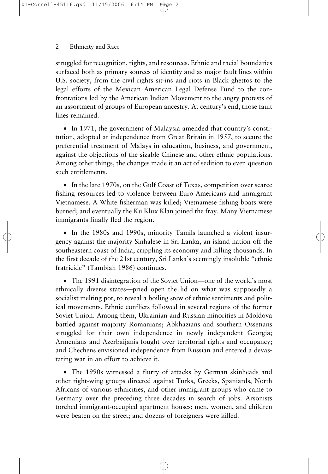struggled for recognition, rights, and resources. Ethnic and racial boundaries surfaced both as primary sources of identity and as major fault lines within U.S. society, from the civil rights sit-ins and riots in Black ghettos to the legal efforts of the Mexican American Legal Defense Fund to the confrontations led by the American Indian Movement to the angry protests of an assortment of groups of European ancestry. At century's end, those fault lines remained.

• In 1971, the government of Malaysia amended that country's constitution, adopted at independence from Great Britain in 1957, to secure the preferential treatment of Malays in education, business, and government, against the objections of the sizable Chinese and other ethnic populations. Among other things, the changes made it an act of sedition to even question such entitlements.

• In the late 1970s, on the Gulf Coast of Texas, competition over scarce fishing resources led to violence between Euro-Americans and immigrant Vietnamese. A White fisherman was killed; Vietnamese fishing boats were burned; and eventually the Ku Klux Klan joined the fray. Many Vietnamese immigrants finally fled the region.

• In the 1980s and 1990s, minority Tamils launched a violent insurgency against the majority Sinhalese in Sri Lanka, an island nation off the southeastern coast of India, crippling its economy and killing thousands. In the first decade of the 21st century, Sri Lanka's seemingly insoluble "ethnic fratricide" (Tambiah 1986) continues.

• The 1991 disintegration of the Soviet Union—one of the world's most ethnically diverse states—pried open the lid on what was supposedly a socialist melting pot, to reveal a boiling stew of ethnic sentiments and political movements. Ethnic conflicts followed in several regions of the former Soviet Union. Among them, Ukrainian and Russian minorities in Moldova battled against majority Romanians; Abkhazians and southern Ossetians struggled for their own independence in newly independent Georgia; Armenians and Azerbaijanis fought over territorial rights and occupancy; and Chechens envisioned independence from Russian and entered a devastating war in an effort to achieve it.

• The 1990s witnessed a flurry of attacks by German skinheads and other right-wing groups directed against Turks, Greeks, Spaniards, North Africans of various ethnicities, and other immigrant groups who came to Germany over the preceding three decades in search of jobs. Arsonists torched immigrant-occupied apartment houses; men, women, and children were beaten on the street; and dozens of foreigners were killed.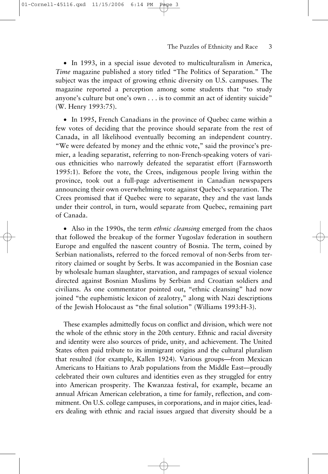• In 1993, in a special issue devoted to multiculturalism in America, *Time* magazine published a story titled "The Politics of Separation." The subject was the impact of growing ethnic diversity on U.S. campuses. The magazine reported a perception among some students that "to study anyone's culture but one's own . . . is to commit an act of identity suicide" (W. Henry 1993:75).

01-Cornell-45116.qxd 11/15/2006

• In 1995, French Canadians in the province of Quebec came within a few votes of deciding that the province should separate from the rest of Canada, in all likelihood eventually becoming an independent country. "We were defeated by money and the ethnic vote," said the province's premier, a leading separatist, referring to non-French-speaking voters of various ethnicities who narrowly defeated the separatist effort (Farnsworth 1995:1). Before the vote, the Crees, indigenous people living within the province, took out a full-page advertisement in Canadian newspapers announcing their own overwhelming vote against Quebec's separation. The Crees promised that if Quebec were to separate, they and the vast lands under their control, in turn, would separate from Quebec, remaining part of Canada.

• Also in the 1990s, the term *ethnic cleansing* emerged from the chaos that followed the breakup of the former Yugoslav federation in southern Europe and engulfed the nascent country of Bosnia. The term, coined by Serbian nationalists, referred to the forced removal of non-Serbs from territory claimed or sought by Serbs. It was accompanied in the Bosnian case by wholesale human slaughter, starvation, and rampages of sexual violence directed against Bosnian Muslims by Serbian and Croatian soldiers and civilians. As one commentator pointed out, "ethnic cleansing" had now joined "the euphemistic lexicon of zealotry," along with Nazi descriptions of the Jewish Holocaust as "the final solution" (Williams 1993:H-3).

These examples admittedly focus on conflict and division, which were not the whole of the ethnic story in the 20th century. Ethnic and racial diversity and identity were also sources of pride, unity, and achievement. The United States often paid tribute to its immigrant origins and the cultural pluralism that resulted (for example, Kallen 1924). Various groups—from Mexican Americans to Haitians to Arab populations from the Middle East—proudly celebrated their own cultures and identities even as they struggled for entry into American prosperity. The Kwanzaa festival, for example, became an annual African American celebration, a time for family, reflection, and commitment. On U.S. college campuses, in corporations, and in major cities, leaders dealing with ethnic and racial issues argued that diversity should be a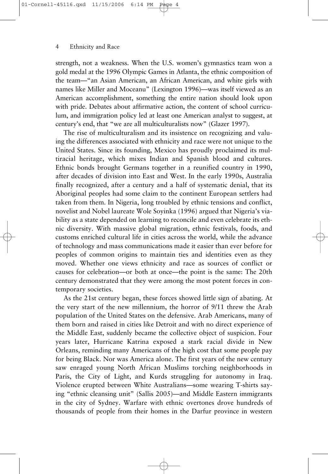strength, not a weakness. When the U.S. women's gymnastics team won a gold medal at the 1996 Olympic Games in Atlanta, the ethnic composition of the team—"an Asian American, an African American, and white girls with names like Miller and Moceanu" (Lexington 1996)—was itself viewed as an American accomplishment, something the entire nation should look upon with pride. Debates about affirmative action, the content of school curriculum, and immigration policy led at least one American analyst to suggest, at century's end, that "we are all multiculturalists now" (Glazer 1997).

The rise of multiculturalism and its insistence on recognizing and valuing the differences associated with ethnicity and race were not unique to the United States. Since its founding, Mexico has proudly proclaimed its multiracial heritage, which mixes Indian and Spanish blood and cultures. Ethnic bonds brought Germans together in a reunified country in 1990, after decades of division into East and West. In the early 1990s, Australia finally recognized, after a century and a half of systematic denial, that its Aboriginal peoples had some claim to the continent European settlers had taken from them. In Nigeria, long troubled by ethnic tensions and conflict, novelist and Nobel laureate Wole Soyinka (1996) argued that Nigeria's viability as a state depended on learning to reconcile and even celebrate its ethnic diversity. With massive global migration, ethnic festivals, foods, and customs enriched cultural life in cities across the world, while the advance of technology and mass communications made it easier than ever before for peoples of common origins to maintain ties and identities even as they moved. Whether one views ethnicity and race as sources of conflict or causes for celebration—or both at once—the point is the same: The 20th century demonstrated that they were among the most potent forces in contemporary societies.

As the 21st century began, these forces showed little sign of abating. At the very start of the new millennium, the horror of 9/11 threw the Arab population of the United States on the defensive. Arab Americans, many of them born and raised in cities like Detroit and with no direct experience of the Middle East, suddenly became the collective object of suspicion. Four years later, Hurricane Katrina exposed a stark racial divide in New Orleans, reminding many Americans of the high cost that some people pay for being Black. Nor was America alone. The first years of the new century saw enraged young North African Muslims torching neighborhoods in Paris, the City of Light, and Kurds struggling for autonomy in Iraq. Violence erupted between White Australians—some wearing T-shirts saying "ethnic cleansing unit" (Sallis 2005)—and Middle Eastern immigrants in the city of Sydney. Warfare with ethnic overtones drove hundreds of thousands of people from their homes in the Darfur province in western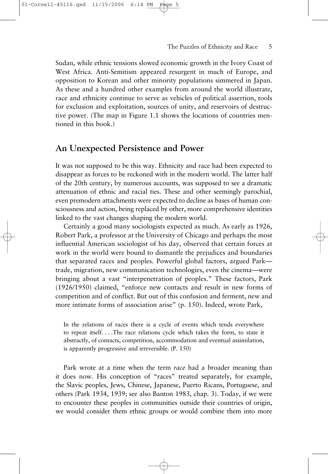Sudan, while ethnic tensions slowed economic growth in the Ivory Coast of West Africa. Anti-Semitism appeared resurgent in much of Europe, and opposition to Korean and other minority populations simmered in Japan. As these and a hundred other examples from around the world illustrate, race and ethnicity continue to serve as vehicles of political assertion, tools for exclusion and exploitation, sources of unity, and reservoirs of destructive power. (The map in Figure 1.1 shows the locations of countries mentioned in this book.)

## **An Unexpected Persistence and Power**

It was not supposed to be this way. Ethnicity and race had been expected to disappear as forces to be reckoned with in the modern world. The latter half of the 20th century, by numerous accounts, was supposed to see a dramatic attenuation of ethnic and racial ties. These and other seemingly parochial, even premodern attachments were expected to decline as bases of human consciousness and action, being replaced by other, more comprehensive identities linked to the vast changes shaping the modern world.

Certainly a good many sociologists expected as much. As early as 1926, Robert Park, a professor at the University of Chicago and perhaps the most influential American sociologist of his day, observed that certain forces at work in the world were bound to dismantle the prejudices and boundaries that separated races and peoples. Powerful global factors, argued Park trade, migration, new communication technologies, even the cinema—were bringing about a vast "interpenetration of peoples." These factors, Park (1926/1950) claimed, "enforce new contacts and result in new forms of competition and of conflict. But out of this confusion and ferment, new and more intimate forms of association arise" (p. 150). Indeed, wrote Park,

In the relations of races there is a cycle of events which tends everywhere to repeat itself. . . .The race relations cycle which takes the form, to state it abstractly, of contacts, competition, accommodation and eventual assimilation, is apparently progressive and irreversible. (P. 150)

Park wrote at a time when the term *race* had a broader meaning than it does now. His conception of "races" treated separately, for example, the Slavic peoples, Jews, Chinese, Japanese, Puerto Ricans, Portuguese, and others (Park 1934, 1939; see also Banton 1983, chap. 3). Today, if we were to encounter these peoples in communities outside their countries of origin, we would consider them ethnic groups or would combine them into more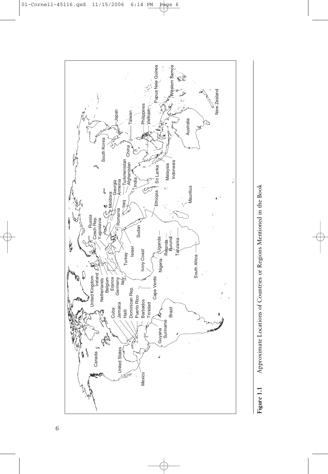



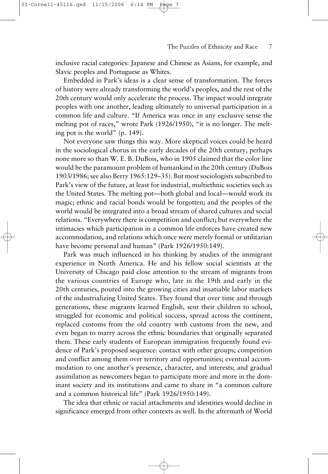01-Cornell-45116.qxd 11/15/2006

inclusive racial categories: Japanese and Chinese as Asians, for example, and Slavic peoples and Portuguese as Whites.

Embedded in Park's ideas is a clear sense of transformation. The forces of history were already transforming the world's peoples, and the rest of the 20th century would only accelerate the process. The impact would integrate peoples with one another, leading ultimately to universal participation in a common life and culture. "If America was once in any exclusive sense the melting pot of races," wrote Park (1926/1950), "it is no longer. The melting pot is the world" (p. 149).

Not everyone saw things this way. More skeptical voices could be heard in the sociological chorus in the early decades of the 20th century, perhaps none more so than W. E. B. DuBois, who in 1905 claimed that the color line would be the paramount problem of humankind in the 20th century (DuBois 1903/1986; see also Berry 1965:129–35). But most sociologists subscribed to Park's view of the future, at least for industrial, multiethnic societies such as the United States. The melting pot—both global and local—would work its magic; ethnic and racial bonds would be forgotten; and the peoples of the world would be integrated into a broad stream of shared cultures and social relations. "Everywhere there is competition and conflict; but everywhere the intimacies which participation in a common life enforces have created new accommodation, and relations which once were merely formal or utilitarian have become personal and human" (Park 1926/1950:149).

Park was much influenced in his thinking by studies of the immigrant experience in North America. He and his fellow social scientists at the University of Chicago paid close attention to the stream of migrants from the various countries of Europe who, late in the 19th and early in the 20th centuries, poured into the growing cities and insatiable labor markets of the industrializing United States. They found that over time and through generations, these migrants learned English, sent their children to school, struggled for economic and political success, spread across the continent, replaced customs from the old country with customs from the new, and even began to marry across the ethnic boundaries that originally separated them. These early students of European immigration frequently found evidence of Park's proposed sequence: contact with other groups; competition and conflict among them over territory and opportunities; eventual accommodation to one another's presence, character, and interests; and gradual assimilation as newcomers began to participate more and more in the dominant society and its institutions and came to share in "a common culture and a common historical life" (Park 1926/1950:149).

The idea that ethnic or racial attachments and identities would decline in significance emerged from other contexts as well. In the aftermath of World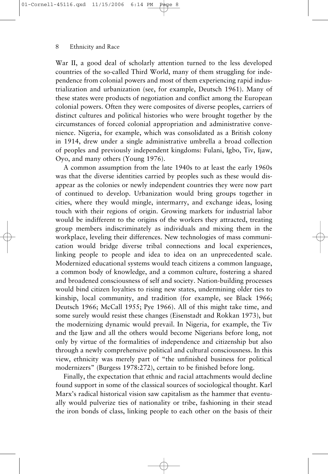War II, a good deal of scholarly attention turned to the less developed countries of the so-called Third World, many of them struggling for independence from colonial powers and most of them experiencing rapid industrialization and urbanization (see, for example, Deutsch 1961). Many of these states were products of negotiation and conflict among the European colonial powers. Often they were composites of diverse peoples, carriers of distinct cultures and political histories who were brought together by the circumstances of forced colonial appropriation and administrative convenience. Nigeria, for example, which was consolidated as a British colony in 1914, drew under a single administrative umbrella a broad collection of peoples and previously independent kingdoms: Fulani, Igbo, Tiv, Ijaw, Oyo, and many others (Young 1976).

A common assumption from the late 1940s to at least the early 1960s was that the diverse identities carried by peoples such as these would disappear as the colonies or newly independent countries they were now part of continued to develop. Urbanization would bring groups together in cities, where they would mingle, intermarry, and exchange ideas, losing touch with their regions of origin. Growing markets for industrial labor would be indifferent to the origins of the workers they attracted, treating group members indiscriminately as individuals and mixing them in the workplace, leveling their differences. New technologies of mass communication would bridge diverse tribal connections and local experiences, linking people to people and idea to idea on an unprecedented scale. Modernized educational systems would teach citizens a common language, a common body of knowledge, and a common culture, fostering a shared and broadened consciousness of self and society. Nation-building processes would bind citizen loyalties to rising new states, undermining older ties to kinship, local community, and tradition (for example, see Black 1966; Deutsch 1966; McCall 1955; Pye 1966). All of this might take time, and some surely would resist these changes (Eisenstadt and Rokkan 1973), but the modernizing dynamic would prevail. In Nigeria, for example, the Tiv and the Ijaw and all the others would become Nigerians before long, not only by virtue of the formalities of independence and citizenship but also through a newly comprehensive political and cultural consciousness. In this view, ethnicity was merely part of "the unfinished business for political modernizers" (Burgess 1978:272), certain to be finished before long.

Finally, the expectation that ethnic and racial attachments would decline found support in some of the classical sources of sociological thought. Karl Marx's radical historical vision saw capitalism as the hammer that eventually would pulverize ties of nationality or tribe, fashioning in their stead the iron bonds of class, linking people to each other on the basis of their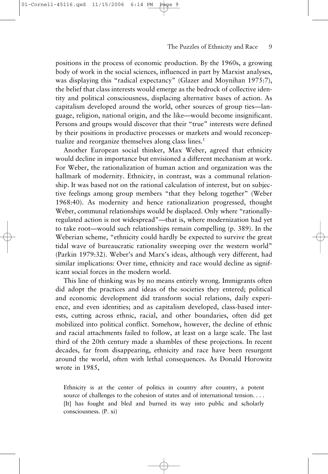positions in the process of economic production. By the 1960s, a growing body of work in the social sciences, influenced in part by Marxist analyses, was displaying this "radical expectancy" (Glazer and Moynihan 1975:7), the belief that class interests would emerge as the bedrock of collective identity and political consciousness, displacing alternative bases of action. As capitalism developed around the world, other sources of group ties—language, religion, national origin, and the like—would become insignificant. Persons and groups would discover that their "true" interests were defined by their positions in productive processes or markets and would reconceptualize and reorganize themselves along class lines.1

Another European social thinker, Max Weber, agreed that ethnicity would decline in importance but envisioned a different mechanism at work. For Weber, the rationalization of human action and organization was the hallmark of modernity. Ethnicity, in contrast, was a communal relationship. It was based not on the rational calculation of interest, but on subjective feelings among group members "that they belong together" (Weber 1968:40). As modernity and hence rationalization progressed, thought Weber, communal relationships would be displaced. Only where "rationallyregulated action is not widespread"—that is, where modernization had yet to take root—would such relationships remain compelling (p. 389). In the Weberian scheme, "ethnicity could hardly be expected to survive the great tidal wave of bureaucratic rationality sweeping over the western world" (Parkin 1979:32). Weber's and Marx's ideas, although very different, had similar implications: Over time, ethnicity and race would decline as significant social forces in the modern world.

This line of thinking was by no means entirely wrong. Immigrants often did adopt the practices and ideas of the societies they entered; political and economic development did transform social relations, daily experience, and even identities; and as capitalism developed, class-based interests, cutting across ethnic, racial, and other boundaries, often did get mobilized into political conflict. Somehow, however, the decline of ethnic and racial attachments failed to follow, at least on a large scale. The last third of the 20th century made a shambles of these projections. In recent decades, far from disappearing, ethnicity and race have been resurgent around the world, often with lethal consequences. As Donald Horowitz wrote in 1985,

Ethnicity is at the center of politics in country after country, a potent source of challenges to the cohesion of states and of international tension. . . . [It] has fought and bled and burned its way into public and scholarly consciousness. (P. xi)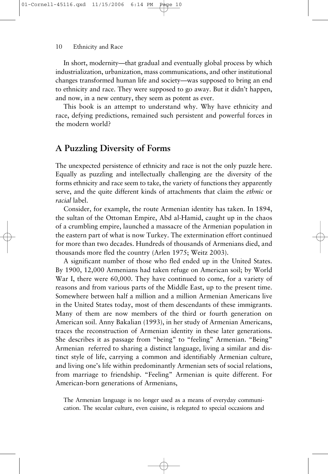In short, modernity—that gradual and eventually global process by which industrialization, urbanization, mass communications, and other institutional changes transformed human life and society—was supposed to bring an end to ethnicity and race. They were supposed to go away. But it didn't happen, and now, in a new century, they seem as potent as ever.

This book is an attempt to understand why. Why have ethnicity and race, defying predictions, remained such persistent and powerful forces in the modern world?

## **A Puzzling Diversity of Forms**

The unexpected persistence of ethnicity and race is not the only puzzle here. Equally as puzzling and intellectually challenging are the diversity of the forms ethnicity and race seem to take, the variety of functions they apparently serve, and the quite different kinds of attachments that claim the *ethnic* or *racial* label.

Consider, for example, the route Armenian identity has taken. In 1894, the sultan of the Ottoman Empire, Abd al-Hamid, caught up in the chaos of a crumbling empire, launched a massacre of the Armenian population in the eastern part of what is now Turkey. The extermination effort continued for more than two decades. Hundreds of thousands of Armenians died, and thousands more fled the country (Arlen 1975; Weitz 2003).

A significant number of those who fled ended up in the United States. By 1900, 12,000 Armenians had taken refuge on American soil; by World War I, there were 60,000. They have continued to come, for a variety of reasons and from various parts of the Middle East, up to the present time. Somewhere between half a million and a million Armenian Americans live in the United States today, most of them descendants of these immigrants. Many of them are now members of the third or fourth generation on American soil. Anny Bakalian (1993), in her study of Armenian Americans, traces the reconstruction of Armenian identity in these later generations. She describes it as passage from "being" to "feeling" Armenian. "Being" Armenian referred to sharing a distinct language, living a similar and distinct style of life, carrying a common and identifiably Armenian culture, and living one's life within predominantly Armenian sets of social relations, from marriage to friendship. "Feeling" Armenian is quite different. For American-born generations of Armenians,

The Armenian language is no longer used as a means of everyday communication. The secular culture, even cuisine, is relegated to special occasions and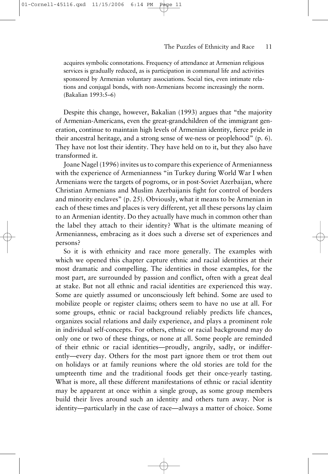acquires symbolic connotations. Frequency of attendance at Armenian religious services is gradually reduced, as is participation in communal life and activities sponsored by Armenian voluntary associations. Social ties, even intimate relations and conjugal bonds, with non-Armenians become increasingly the norm. (Bakalian 1993:5–6)

01-Cornell-45116.qxd 11/15/2006

Despite this change, however, Bakalian (1993) argues that "the majority of Armenian-Americans, even the great-grandchildren of the immigrant generation, continue to maintain high levels of Armenian identity, fierce pride in their ancestral heritage, and a strong sense of we-ness or peoplehood" (p. 6). They have not lost their identity. They have held on to it, but they also have transformed it.

Joane Nagel (1996) invites us to compare this experience of Armenianness with the experience of Armenianness "in Turkey during World War I when Armenians were the targets of pogroms, or in post-Soviet Azerbaijan, where Christian Armenians and Muslim Azerbaijanis fight for control of borders and minority enclaves" (p. 25). Obviously, what it means to be Armenian in each of these times and places is very different, yet all these persons lay claim to an Armenian identity. Do they actually have much in common other than the label they attach to their identity? What is the ultimate meaning of Armenianness, embracing as it does such a diverse set of experiences and persons?

So it is with ethnicity and race more generally. The examples with which we opened this chapter capture ethnic and racial identities at their most dramatic and compelling. The identities in those examples, for the most part, are surrounded by passion and conflict, often with a great deal at stake. But not all ethnic and racial identities are experienced this way. Some are quietly assumed or unconsciously left behind. Some are used to mobilize people or register claims; others seem to have no use at all. For some groups, ethnic or racial background reliably predicts life chances, organizes social relations and daily experience, and plays a prominent role in individual self-concepts. For others, ethnic or racial background may do only one or two of these things, or none at all. Some people are reminded of their ethnic or racial identities—proudly, angrily, sadly, or indifferently—every day. Others for the most part ignore them or trot them out on holidays or at family reunions where the old stories are told for the umpteenth time and the traditional foods get their once-yearly tasting. What is more, all these different manifestations of ethnic or racial identity may be apparent at once within a single group, as some group members build their lives around such an identity and others turn away. Nor is identity—particularly in the case of race—always a matter of choice. Some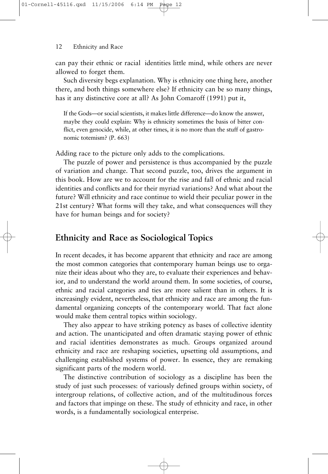can pay their ethnic or racial identities little mind, while others are never allowed to forget them.

Such diversity begs explanation. Why is ethnicity one thing here, another there, and both things somewhere else? If ethnicity can be so many things, has it any distinctive core at all? As John Comaroff (1991) put it,

If the Gods—or social scientists, it makes little difference—do know the answer, maybe they could explain: Why is ethnicity sometimes the basis of bitter conflict, even genocide, while, at other times, it is no more than the stuff of gastronomic totemism? (P. 663)

Adding race to the picture only adds to the complications.

The puzzle of power and persistence is thus accompanied by the puzzle of variation and change. That second puzzle, too, drives the argument in this book. How are we to account for the rise and fall of ethnic and racial identities and conflicts and for their myriad variations? And what about the future? Will ethnicity and race continue to wield their peculiar power in the 21st century? What forms will they take, and what consequences will they have for human beings and for society?

## **Ethnicity and Race as Sociological Topics**

In recent decades, it has become apparent that ethnicity and race are among the most common categories that contemporary human beings use to organize their ideas about who they are, to evaluate their experiences and behavior, and to understand the world around them. In some societies, of course, ethnic and racial categories and ties are more salient than in others. It is increasingly evident, nevertheless, that ethnicity and race are among the fundamental organizing concepts of the contemporary world. That fact alone would make them central topics within sociology.

They also appear to have striking potency as bases of collective identity and action. The unanticipated and often dramatic staying power of ethnic and racial identities demonstrates as much. Groups organized around ethnicity and race are reshaping societies, upsetting old assumptions, and challenging established systems of power. In essence, they are remaking significant parts of the modern world.

The distinctive contribution of sociology as a discipline has been the study of just such processes: of variously defined groups within society, of intergroup relations, of collective action, and of the multitudinous forces and factors that impinge on these. The study of ethnicity and race, in other words, is a fundamentally sociological enterprise.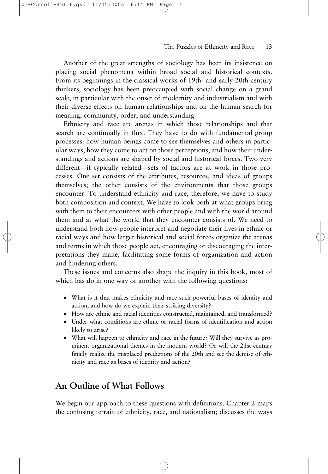Another of the great strengths of sociology has been its insistence on placing social phenomena within broad social and historical contexts. From its beginnings in the classical works of 19th- and early-20th-century thinkers, sociology has been preoccupied with social change on a grand scale, in particular with the onset of modernity and industrialism and with their diverse effects on human relationships and on the human search for meaning, community, order, and understanding.

Ethnicity and race are arenas in which those relationships and that search are continually in flux. They have to do with fundamental group processes: how human beings come to see themselves and others in particular ways, how they come to act on those perceptions, and how their understandings and actions are shaped by social and historical forces. Two very different—if typically related—sets of factors are at work in those processes. One set consists of the attributes, resources, and ideas of groups themselves; the other consists of the environments that those groups encounter. To understand ethnicity and race, therefore, we have to study both composition and context. We have to look both at what groups bring with them to their encounters with other people and with the world around them and at what the world that they encounter consists of. We need to understand both how people interpret and negotiate their lives in ethnic or racial ways and how larger historical and social forces organize the arenas and terms in which those people act, encouraging or discouraging the interpretations they make, facilitating some forms of organization and action and hindering others.

These issues and concerns also shape the inquiry in this book, most of which has do in one way or another with the following questions:

- What is it that makes ethnicity and race such powerful bases of identity and action, and how do we explain their striking diversity?
- How are ethnic and racial identities constructed, maintained, and transformed?
- Under what conditions are ethnic or racial forms of identification and action likely to arise?
- What will happen to ethnicity and race in the future? Will they survive as prominent organizational themes in the modern world? Or will the 21st century finally realize the misplaced predictions of the 20th and see the demise of ethnicity and race as bases of identity and action?

## **An Outline of What Follows**

We begin our approach to these questions with definitions. Chapter 2 maps the confusing terrain of ethnicity, race, and nationalism; discusses the ways